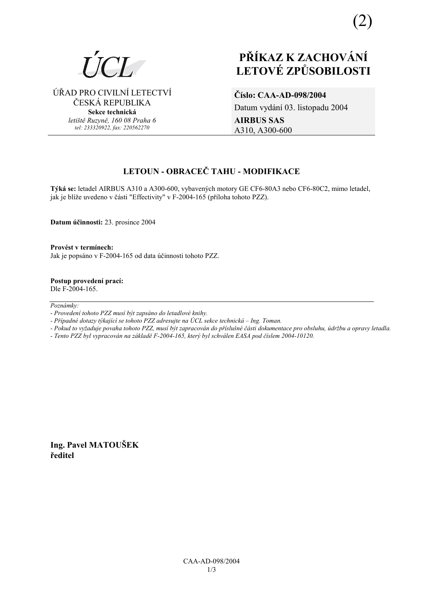ÚŘAD PRO CIVILNÍ LETECTVÍ ČESKÁ REPUBLIKA **Sekce technická** *letiötě Ruzyně, 160 08 Praha 6 tel: 233320922, fax: 220562270*

# **PŘÍKAZ K ZACHOVÁNÍ LETOV… ZPŮSOBILOSTI**

**ČÌslo: CAA-AD-098/2004**  Datum vydání 03. listopadu 2004 **AIRBUS SAS**  A310, A300-600

# **LETOUN - OBRACEČ TAHU - MODIFIKACE**

Týká se: letadel AIRBUS A310 a A300-600, vybavených motory GE CF6-80A3 nebo CF6-80C2, mimo letadel, jak je blíže uvedeno v části "Effectivity" v F-2004-165 (příloha tohoto PZZ).

**Datum ˙činnosti:** 23. prosince 2004

**ProvÈst v termÌnech:**  Jak je popsáno v F-2004-165 od data účinnosti tohoto PZZ.

**Postup provedenÌ pracÌ:**  Dle F-2004-165.

 $Poznámky:$ 

*- ProvedenÌ tohoto PZZ musÌ b˝t zaps·no do letadlovÈ knihy.* 

- Případné dotazy týkající se tohoto PZZ adresujte na ÚCL sekce technická – Ing. Toman.

*- Pokud to vyûaduje povaha tohoto PZZ, musÌ b˝t zapracov·n do přÌsluönÈ č·sti dokumentace pro obsluhu, ˙drûbu a opravy letadla.* 

*- Tento PZZ byl vypracov·n na z·kladě F-2004-165, kter˝ byl schv·len EASA pod čÌslem 2004-10120.* 

**Ing. Pavel MATOUäEK ředitel**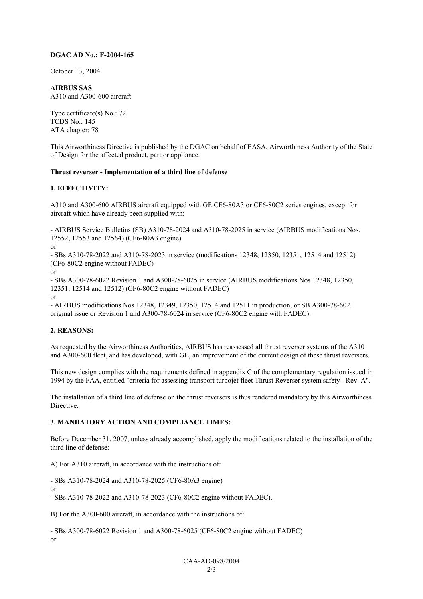#### **DGAC AD No.: F-2004-165**

October 13, 2004

**AIRBUS SAS**  A310 and A300-600 aircraft

Type certificate(s) No.: 72 TCDS No.: 145 ATA chapter: 78

This Airworthiness Directive is published by the DGAC on behalf of EASA, Airworthiness Authority of the State of Design for the affected product, part or appliance.

#### **Thrust reverser - Implementation of a third line of defense**

#### **1. EFFECTIVITY:**

A310 and A300-600 AIRBUS aircraft equipped with GE CF6-80A3 or CF6-80C2 series engines, except for aircraft which have already been supplied with:

- AIRBUS Service Bulletins (SB) A310-78-2024 and A310-78-2025 in service (AIRBUS modifications Nos. 12552, 12553 and 12564) (CF6-80A3 engine)

or

- SBs A310-78-2022 and A310-78-2023 in service (modifications 12348, 12350, 12351, 12514 and 12512) (CF6-80C2 engine without FADEC)

or

- SBs A300-78-6022 Revision 1 and A300-78-6025 in service (AIRBUS modifications Nos 12348, 12350, 12351, 12514 and 12512) (CF6-80C2 engine without FADEC)

or

- AIRBUS modifications Nos 12348, 12349, 12350, 12514 and 12511 in production, or SB A300-78-6021 original issue or Revision 1 and A300-78-6024 in service (CF6-80C2 engine with FADEC).

# **2. REASONS:**

As requested by the Airworthiness Authorities, AIRBUS has reassessed all thrust reverser systems of the A310 and A300-600 fleet, and has developed, with GE, an improvement of the current design of these thrust reversers.

This new design complies with the requirements defined in appendix C of the complementary regulation issued in 1994 by the FAA, entitled "criteria for assessing transport turbojet fleet Thrust Reverser system safety - Rev. A".

The installation of a third line of defense on the thrust reversers is thus rendered mandatory by this Airworthiness **Directive** 

# **3. MANDATORY ACTION AND COMPLIANCE TIMES:**

Before December 31, 2007, unless already accomplished, apply the modifications related to the installation of the third line of defense:

A) For A310 aircraft, in accordance with the instructions of:

- SBs A310-78-2024 and A310-78-2025 (CF6-80A3 engine)

or - SBs A310-78-2022 and A310-78-2023 (CF6-80C2 engine without FADEC).

B) For the A300-600 aircraft, in accordance with the instructions of:

- SBs A300-78-6022 Revision 1 and A300-78-6025 (CF6-80C2 engine without FADEC) or